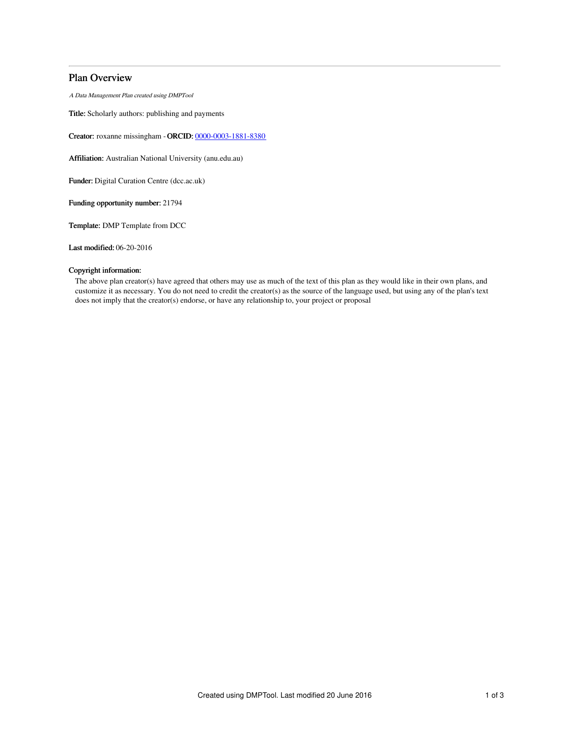## Plan Overview

A Data Management Plan created using DMPTool

Title: Scholarly authors: publishing and payments

Creator: roxanne missingham -ORCID: [0000-0003-1881-8380](https://orcid.org/0000-0003-1881-8380)

Affiliation: Australian National University (anu.edu.au)

Funder: Digital Curation Centre (dcc.ac.uk)

Funding opportunity number: 21794

Template: DMP Template from DCC

Last modified: 06-20-2016

## Copyright information:

The above plan creator(s) have agreed that others may use as much of the text of this plan as they would like in their own plans, and customize it as necessary. You do not need to credit the creator(s) as the source of the language used, but using any of the plan's text does not imply that the creator(s) endorse, or have any relationship to, your project or proposal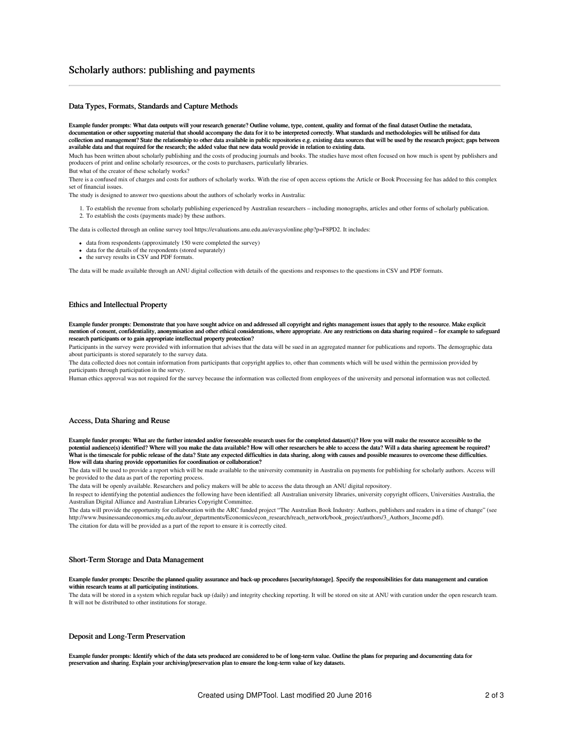## Scholarly authors: publishing and payments

### Data Types, Formats, Standards and Capture Methods

Example funder prompts: What data outputs will your research generate? Outline volume, type, content, quality and format of the final dataset Outline the metadata, documentation or other supporting material that should accompany the data for it to be interpreted correctly. What standards and methodologies will be utilised for data collection and management? State the relationship to other data available in public repositories e.g. existing data sources that will be used by the research project; gaps between available data and that required for the research; the added value that new data would provide in relation to existing data.

Much has been written about scholarly publishing and the costs of producing journals and books. The studies have most often focused on how much is spent by publishers and producers of print and online scholarly resources, or the costs to purchasers, particularly libraries.

But what of the creator of these scholarly works?

There is a confused mix of charges and costs for authors of scholarly works. With the rise of open access options the Article or Book Processing fee has added to this complex set of financial issues.

The study is designed to answer two questions about the authors of scholarly works in Australia:

1. To establish the revenue from scholarly publishing experienced by Australian researchers – including monographs, articles and other forms of scholarly publication. 2. To establish the costs (payments made) by these authors.

The data is collected through an online survey tool https://evaluations.anu.edu.au/evasys/online.php?p=F8PD2. It includes:

- data from respondents (approximately 150 were completed the survey)
- data for the details of the respondents (stored separately)
- the survey results in CSV and PDF formats.

The data will be made available through an ANU digital collection with details of the questions and responses to the questions in CSV and PDF formats.

#### Ethics and Intellectual Property

Example funder prompts: Demonstrate that you have sought advice on and addressed all copyright and rights management issues that apply to the resource. Make explicit mention of consent, confidentiality, anonymisation and other ethical considerations, where appropriate. Are any restrictions on data sharing required – for example to safeguard research participants or to gain appropriate intellectual property protection?

Participants in the survey were provided with information that advises that the data will be sued in an aggregated manner for publications and reports. The demographic data about participants is stored separately to the survey data.

The data collected does not contain information from participants that copyright applies to, other than comments which will be used within the permission provided by participants through participation in the survey.

Human ethics approval was not required for the survey because the information was collected from employees of the university and personal information was not collected.

#### Access, Data Sharing and Reuse

Example funder prompts: What are the further intended and/or foreseeable research uses for the completed dataset(s)? How you will make the resource accessible to the potential audience(s) identified? Where will you make the data available? How will other researchers be able to access the data? Will a data sharing agreement be required? What is the timescale for public release of the data? State any expected difficulties in data sharing, along with causes and possible measures to overcome these difficulties. How will data sharing provide opportunities for coordination or collaboration?

The data will be used to provide a report which will be made available to the university community in Australia on payments for publishing for scholarly authors. Access will be provided to the data as part of the reporting process.

The data will be openly available. Researchers and policy makers will be able to access the data through an ANU digital repository.

In respect to identifying the potential audiences the following have been identified: all Australian university libraries, university copyright officers, Universities Australia, the Australian Digital Alliance and Australian Libraries Copyright Committee.

The data will provide the opportunity for collaboration with the ARC funded project "The Australian Book Industry: Authors, publishers and readers in a time of change" (see http://www.businessandeconomics.mq.edu.au/our\_departments/Economics/econ\_research/reach\_network/book\_project/authors/3\_Authors\_Income.pdf). The citation for data will be provided as a part of the report to ensure it is correctly cited.

#### Short-Term Storage and Data Management

Example funder prompts: Describe the planned quality assurance and back-up procedures [security/storage]. Specify the responsibilities for data management and curation within research teams at all participating institutions.

The data will be stored in a system which regular back up (daily) and integrity checking reporting. It will be stored on site at ANU with curation under the open research team. It will not be distributed to other institutions for storage.

#### Deposit and Long-Term Preservation

Example funder prompts: Identify which of the data sets produced are considered to be of long-term value. Outline the plans for preparing and documenting data for preservation and sharing. Explain your archiving/preservation plan to ensure the long-term value of key datasets.